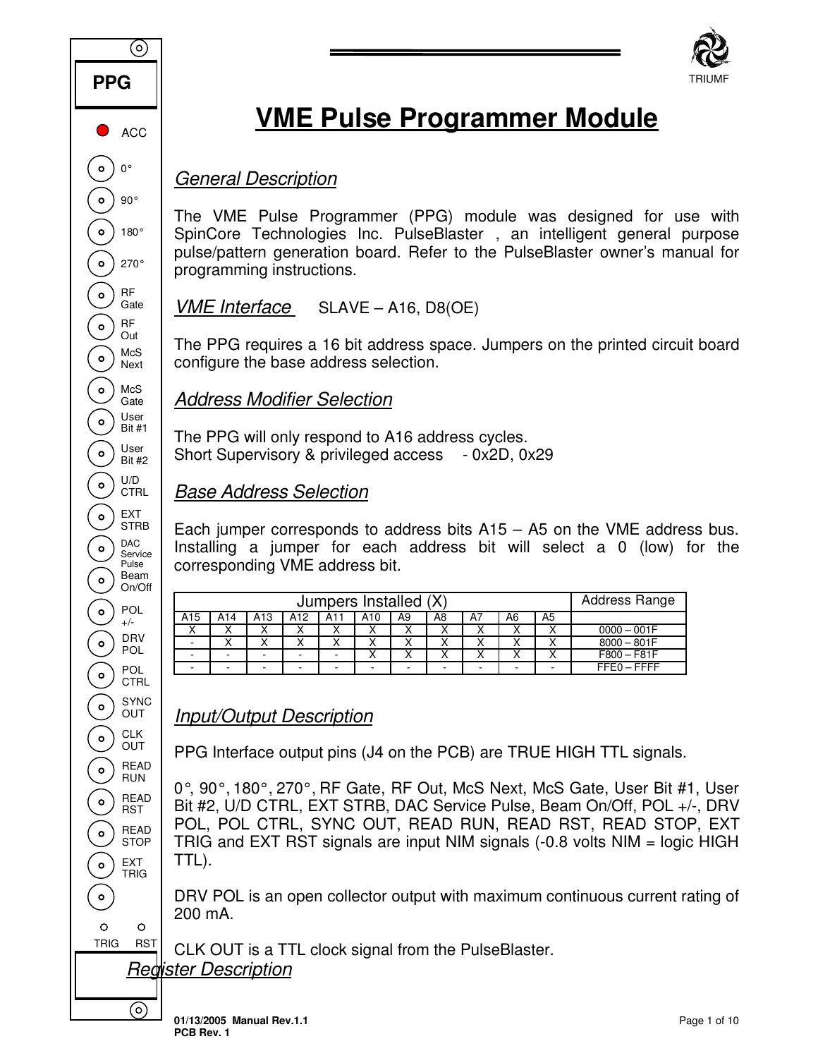



# **VME Pulse Programmer Module**

*General Description*

The VME Pulse Programmer (PPG) module was designed for use with SpinCore Technologies Inc. PulseBlaster<sup>®</sup>, an intelligent general purpose pulse/pattern generation board. Refer to the PulseBlaster owner's manual for programming instructions.

 *VME Interface* SLAVE – A16, D8(OE)

The PPG requires a 16 bit address space. Jumpers on the printed circuit board configure the base address selection.

*Address Modifier Selection*

The PPG will only respond to A16 address cycles. Short Supervisory & privileged access - 0x2D, 0x29

*Base Address Selection*

Each jumper corresponds to address bits A15 – A5 on the VME address bus. Installing a jumper for each address bit will select a  $0$  (low) for the corresponding VME address bit.

|     |     |     | Address Range   |                 |                 |    |    |    |        |    |               |
|-----|-----|-----|-----------------|-----------------|-----------------|----|----|----|--------|----|---------------|
| A15 | A14 | A13 | A <sub>12</sub> | A <sub>11</sub> | A <sub>10</sub> | A9 | A8 | A7 | A6     | A5 |               |
| ⌒   | ́   | ⋏   | $\lambda$       | ∧               |                 |    | ∧  | ∧  | ⋏      |    | $0000 - 001F$ |
|     | ⌒   | ∧   | $\lambda$       | ⌒               |                 |    | ∧  | ⌒  | ⌒      |    | $8000 - 801F$ |
|     |     |     | -               |                 |                 |    | ∧  |    | Λ      |    | $F800 - F81F$ |
|     |     |     | -               |                 |                 |    |    | -  | $\sim$ |    | $FFF0 - FFFF$ |

# *Input/Output Description*

PPG Interface output pins (J4 on the PCB) are TRUE HIGH TTL signals.

0°, 90°, 180°, 270°, RF Gate, RF Out, McS Next, McS Gate, User Bit #1, User Bit #2, U/D CTRL, EXT STRB, DAC Service Pulse, Beam On/Off, POL +/-, DRV POL, POL CTRL, SYNC OUT, READ RUN, READ RST, READ STOP, EXT TRIG and EXT RST signals are input NIM signals  $(-0.8 \text{ volts } NIM = \text{logic } HIGH$ TTL).

DRV POL is an open collector output with maximum continuous current rating of 200 mA.

CLK OUT is a TTL clock signal from the PulseBlaster.

*Register Description*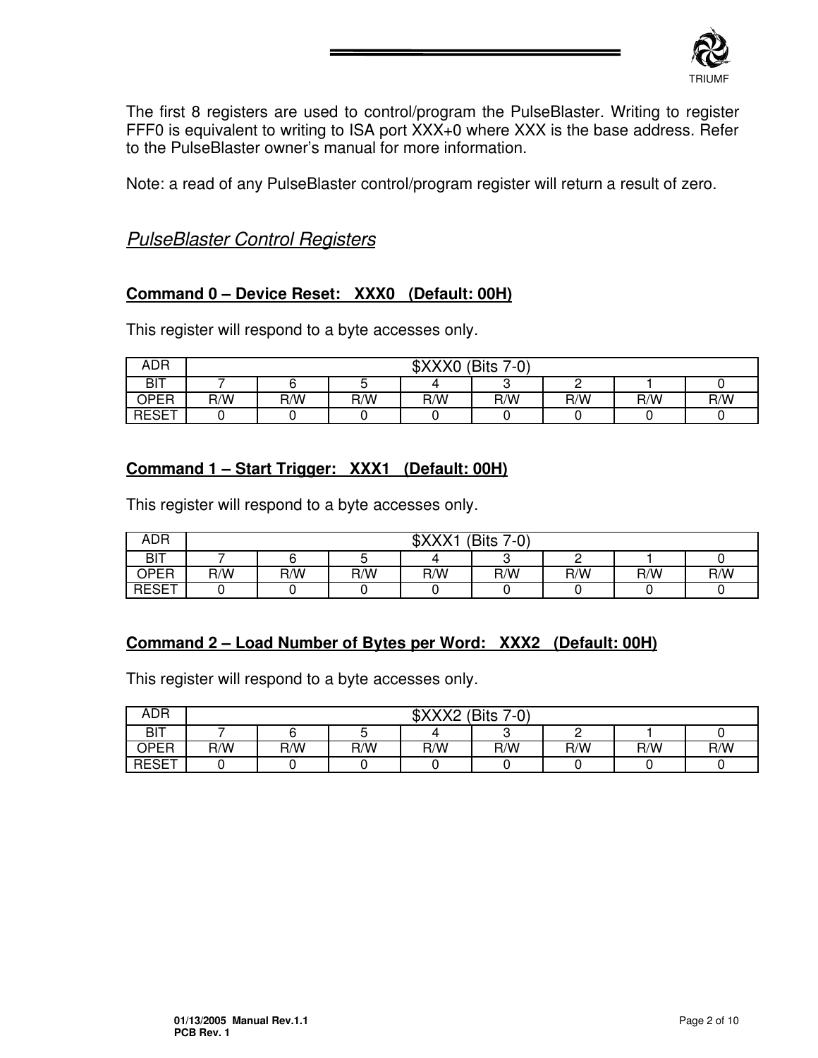

The first 8 registers are used to control/program the PulseBlaster. Writing to register FFF0 is equivalent to writing to ISA port XXX+0 where XXX is the base address. Refer to the PulseBlaster owner's manual for more information.

Note: a read of any PulseBlaster control/program register will return a result of zero.

# *PulseBlaster Control Registers*

# **Command 0 – Device Reset: XXX0 (Default: 00H)**

This register will respond to a byte accesses only.

| <b>ADR</b>   |     | <b>MVVVN</b><br>(Bits 7-0)<br><b>ወለላለ</b> |     |     |     |     |     |     |  |  |  |
|--------------|-----|-------------------------------------------|-----|-----|-----|-----|-----|-----|--|--|--|
| <b>BIT</b>   |     |                                           | ັ   |     |     |     |     |     |  |  |  |
| <b>OPER</b>  | R/W | R/W                                       | R/W | R/W | R/W | R/W | R/W | R/W |  |  |  |
| <b>RESET</b> |     |                                           |     |     |     |     |     |     |  |  |  |

# **Command 1 – Start Trigger: XXX1 (Default: 00H)**

This register will respond to a byte accesses only.

| <b>ADR</b>   |     | <b>CVVV1</b><br>(Bits<br>$7-0)$<br><b>JA∧∧</b> |     |     |     |     |     |     |  |  |  |
|--------------|-----|------------------------------------------------|-----|-----|-----|-----|-----|-----|--|--|--|
| <b>BIT</b>   |     |                                                |     |     |     |     |     |     |  |  |  |
| <b>OPER</b>  | R/W | R/W                                            | R/W | R/W | R/W | R/W | R/W | R/W |  |  |  |
| <b>RESET</b> |     |                                                |     |     |     |     |     |     |  |  |  |

#### **Command 2 – Load Number of Bytes per Word: XXX2 (Default: 00H)**

| ADR          |     | <b>AVVVO</b><br>(Bits 7-0)<br><b>JA∧∧∠</b> |     |     |     |     |     |     |  |  |  |
|--------------|-----|--------------------------------------------|-----|-----|-----|-----|-----|-----|--|--|--|
| <b>BIT</b>   |     |                                            |     | 4   |     |     |     |     |  |  |  |
| OPER         | R/W | R/W                                        | R/W | R/W | R/W | R/W | R/W | R/W |  |  |  |
| <b>RESET</b> |     |                                            |     |     |     |     |     |     |  |  |  |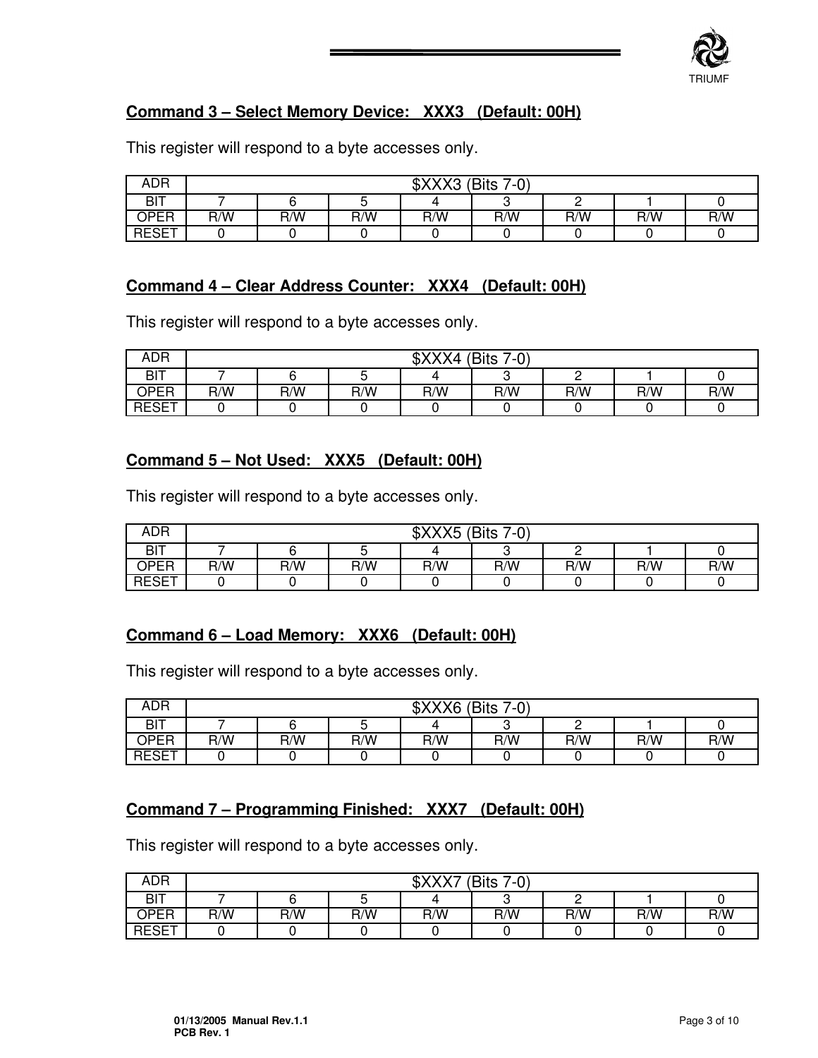

# **Command 3 – Select Memory Device: XXX3 (Default: 00H)**

| ADR          |     | <b>NVVVO</b><br>(Bits<br>$7-0)$<br>่∿∧∧ง |     |     |     |     |     |     |  |  |  |
|--------------|-----|------------------------------------------|-----|-----|-----|-----|-----|-----|--|--|--|
| <b>BIT</b>   |     |                                          |     |     |     |     |     |     |  |  |  |
| <b>OPER</b>  | R/W | R/W                                      | R/W | R/W | R/W | R/W | R/W | R/W |  |  |  |
| <b>RESET</b> |     |                                          |     |     |     |     |     |     |  |  |  |

This register will respond to a byte accesses only.

# **Command 4 – Clear Address Counter: XXX4 (Default: 00H)**

This register will respond to a byte accesses only.

| ADR         |     | \$XXX4<br>(Bits<br>$7-0)$ |     |     |     |     |     |     |  |  |  |
|-------------|-----|---------------------------|-----|-----|-----|-----|-----|-----|--|--|--|
| <b>BIT</b>  |     |                           |     |     |     |     |     |     |  |  |  |
| <b>OPER</b> | R/W | R/W                       | R/W | R/W | R/W | R/W | R/W | R/W |  |  |  |
| RESET       |     |                           |     |     |     |     |     |     |  |  |  |

#### **Command 5 – Not Used: XXX5 (Default: 00H)**

This register will respond to a byte accesses only.

| <b>ADR</b>   |     | \$XXX5<br>(Bits<br>$7-0)$ |     |     |     |     |     |     |  |  |  |
|--------------|-----|---------------------------|-----|-----|-----|-----|-----|-----|--|--|--|
| <b>BIT</b>   |     |                           |     |     |     |     |     |     |  |  |  |
| <b>OPER</b>  | R/W | R/W                       | R/W | R/W | R/W | R/W | R/W | R/W |  |  |  |
| <b>RESET</b> |     |                           |     |     |     |     |     |     |  |  |  |

# **Command 6 – Load Memory: XXX6 (Default: 00H)**

This register will respond to a byte accesses only.

| ADR        |     | \$XXX6<br>(Bits 7-0) |     |     |     |     |     |     |  |  |  |
|------------|-----|----------------------|-----|-----|-----|-----|-----|-----|--|--|--|
| <b>BIT</b> |     |                      |     |     |     |     |     |     |  |  |  |
| OPER       | R/W | R/W                  | R/W | R/W | R/W | R/W | R/W | R/W |  |  |  |
| RESET      |     |                      |     |     |     |     |     |     |  |  |  |

#### **Command 7 – Programming Finished: XXX7 (Default: 00H)**

| <b>ADR</b>   |     | <b>MAVV7</b><br>(Bits<br>$7-0)$<br>$0 \wedge 0 \wedge 1$ |     |     |     |     |     |     |  |  |  |
|--------------|-----|----------------------------------------------------------|-----|-----|-----|-----|-----|-----|--|--|--|
| <b>BIT</b>   |     |                                                          |     |     |     |     |     |     |  |  |  |
| OPER         | R/W | R/W                                                      | R/W | R/W | R/W | R/W | R/W | R/W |  |  |  |
| <b>RESET</b> |     |                                                          |     |     |     |     |     |     |  |  |  |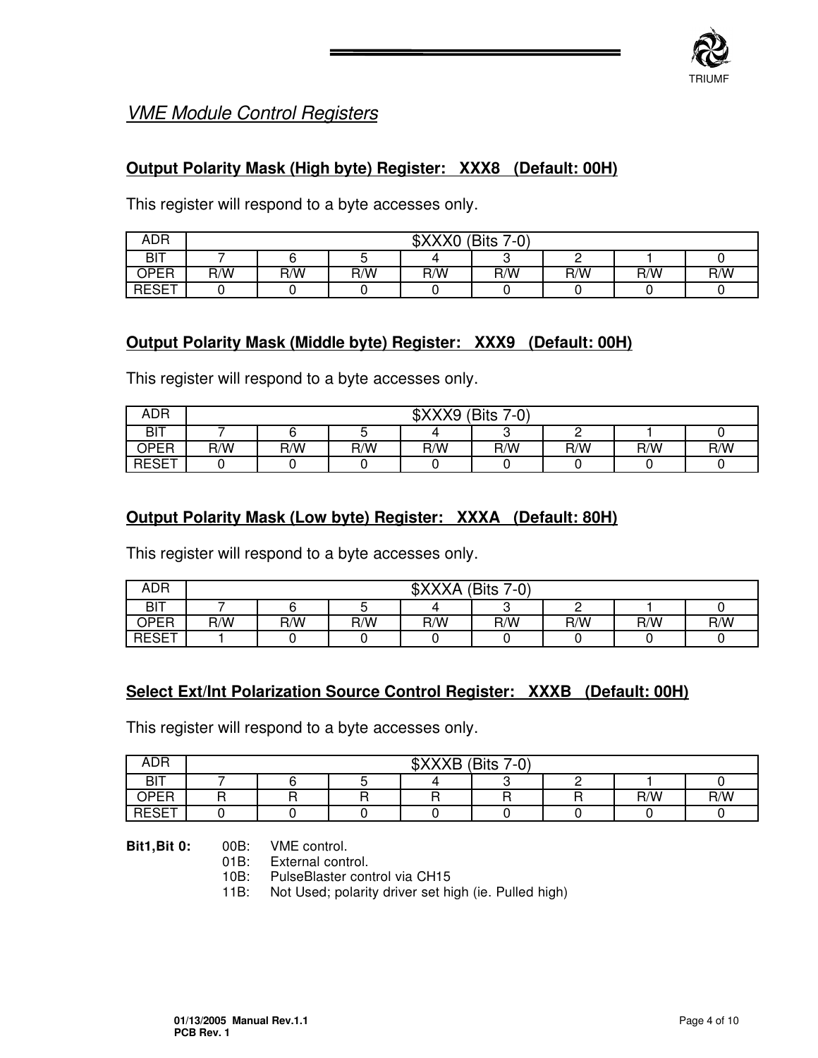

# *VME Module Control Registers*

# **Output Polarity Mask (High byte) Register: XXX8 (Default: 00H)**

This register will respond to a byte accesses only.

| ADR          |     | \$XXX0<br>(Bits 7-0) |     |     |     |     |     |     |  |  |  |
|--------------|-----|----------------------|-----|-----|-----|-----|-----|-----|--|--|--|
| <b>BIT</b>   |     |                      |     |     |     |     |     |     |  |  |  |
| <b>OPER</b>  | R/W | R/W                  | R/W | R/W | R/W | R/W | R/W | R/W |  |  |  |
| <b>RESET</b> |     |                      |     |     |     |     |     |     |  |  |  |

#### **Output Polarity Mask (Middle byte) Register: XXX9 (Default: 00H)**

This register will respond to a byte accesses only.

| ADR          | \$XXX9 (Bits 7-0) |     |     |     |     |     |     |     |  |  |
|--------------|-------------------|-----|-----|-----|-----|-----|-----|-----|--|--|
| BIT          |                   |     |     |     |     |     |     |     |  |  |
| <b>OPER</b>  | R/W               | R/W | R/W | R/W | R/W | R/W | R/W | R/W |  |  |
| <b>RESET</b> |                   |     |     |     |     |     |     |     |  |  |

#### **Output Polarity Mask (Low byte) Register: XXXA (Default: 80H)**

This register will respond to a byte accesses only.

| ADR          |     | \$XXXA<br>(Bits 7-0) |     |     |     |     |     |     |  |  |  |
|--------------|-----|----------------------|-----|-----|-----|-----|-----|-----|--|--|--|
| BIT          |     |                      |     |     |     |     |     |     |  |  |  |
| OPER         | R/W | R/W                  | R/W | R/W | R/W | R/W | R/W | R/W |  |  |  |
| <b>RESET</b> |     |                      |     |     |     |     |     |     |  |  |  |

#### **Select Ext/Int Polarization Source Control Register: XXXB (Default: 00H)**

This register will respond to a byte accesses only.

| <b>ADR</b>      |   | \$XXXB (Bits 7-0) |  |  |  |  |  |  |  |  |  |  |
|-----------------|---|-------------------|--|--|--|--|--|--|--|--|--|--|
| <b>BIT</b>      |   |                   |  |  |  |  |  |  |  |  |  |  |
| OPER            | - | R/W<br>R/W<br>_   |  |  |  |  |  |  |  |  |  |  |
| DESET<br>≀∟∪∟ ا |   |                   |  |  |  |  |  |  |  |  |  |  |

**Bit1,Bit 0:** 00B: VME control.

01B: External control.

10B: PulseBlaster control via CH15

11B: Not Used; polarity driver set high (ie. Pulled high)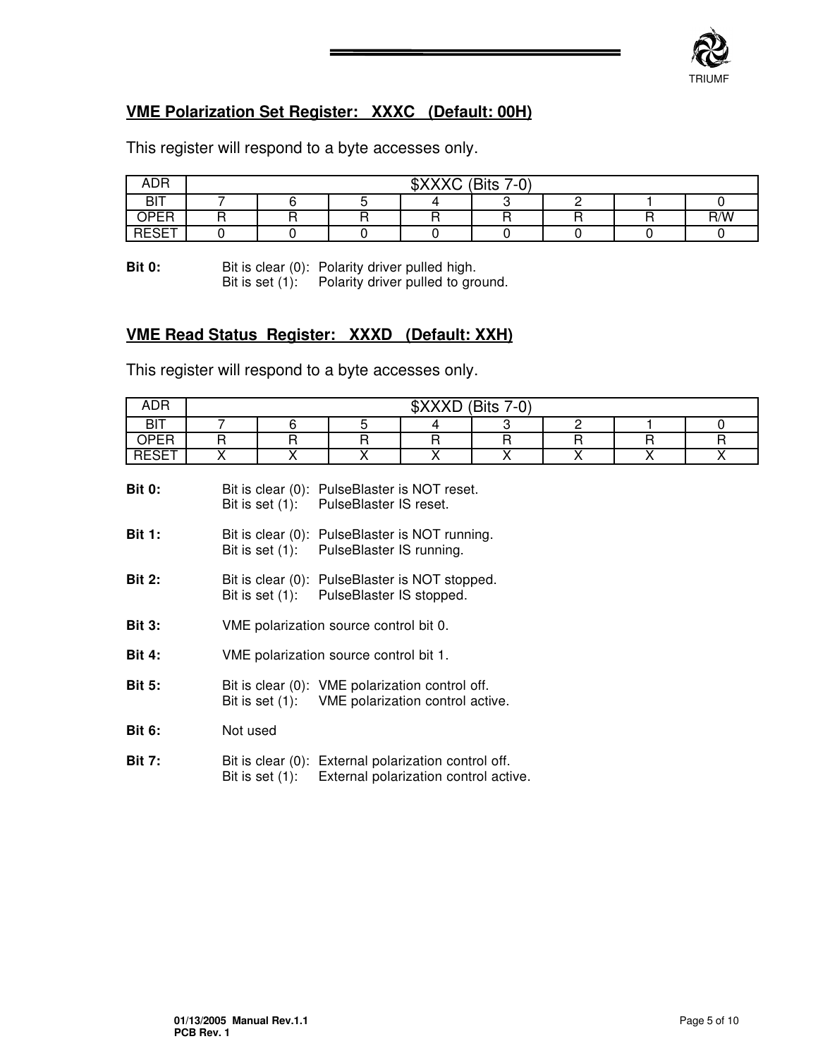

# **VME Polarization Set Register: XXXC (Default: 00H)**

This register will respond to a byte accesses only.

| <b>ADR</b>            |          | \$XXXC (Bits 7-0) |  |  |  |  |  |  |  |  |  |  |
|-----------------------|----------|-------------------|--|--|--|--|--|--|--|--|--|--|
| <b>BIT</b>            |          |                   |  |  |  |  |  |  |  |  |  |  |
| OPER                  | R/W<br>- |                   |  |  |  |  |  |  |  |  |  |  |
| <b>DECET</b><br>ו∟ט∟ו |          |                   |  |  |  |  |  |  |  |  |  |  |

**Bit 0:** Bit is clear (0): Polarity driver pulled high.

Bit is set (1): Polarity driver pulled to ground.

#### **VME Read Status Register: XXXD (Default: XXH)**

| <b>ADR</b>         | \$XXXD (Bits 7-0) |  |  |   |   |  |  |  |  |  |
|--------------------|-------------------|--|--|---|---|--|--|--|--|--|
| BIT                |                   |  |  |   |   |  |  |  |  |  |
| OPER               |                   |  |  | − | - |  |  |  |  |  |
| <b>RESET</b><br>◡∟ |                   |  |  |   |   |  |  |  |  |  |
|                    |                   |  |  |   |   |  |  |  |  |  |

| <b>Bit 0:</b> |                    | Bit is clear (0): PulseBlaster is NOT reset. |
|---------------|--------------------|----------------------------------------------|
|               | Bit is set $(1)$ : | PulseBlaster IS reset.                       |

- **Bit 1:** Bit is clear (0): PulseBlaster is NOT running. Bit is set (1): PulseBlaster IS running.
- **Bit 2:** Bit is clear (0): PulseBlaster is NOT stopped. Bit is set (1): PulseBlaster IS stopped.
- **Bit 3:** VME polarization source control bit 0.
- **Bit 4:** VME polarization source control bit 1.
- **Bit 5:** Bit is clear (0): VME polarization control off. Bit is set (1): VME polarization control active.
- **Bit 6:** Not used
- **Bit 7:** Bit is clear (0): External polarization control off. Bit is set (1): External polarization control active.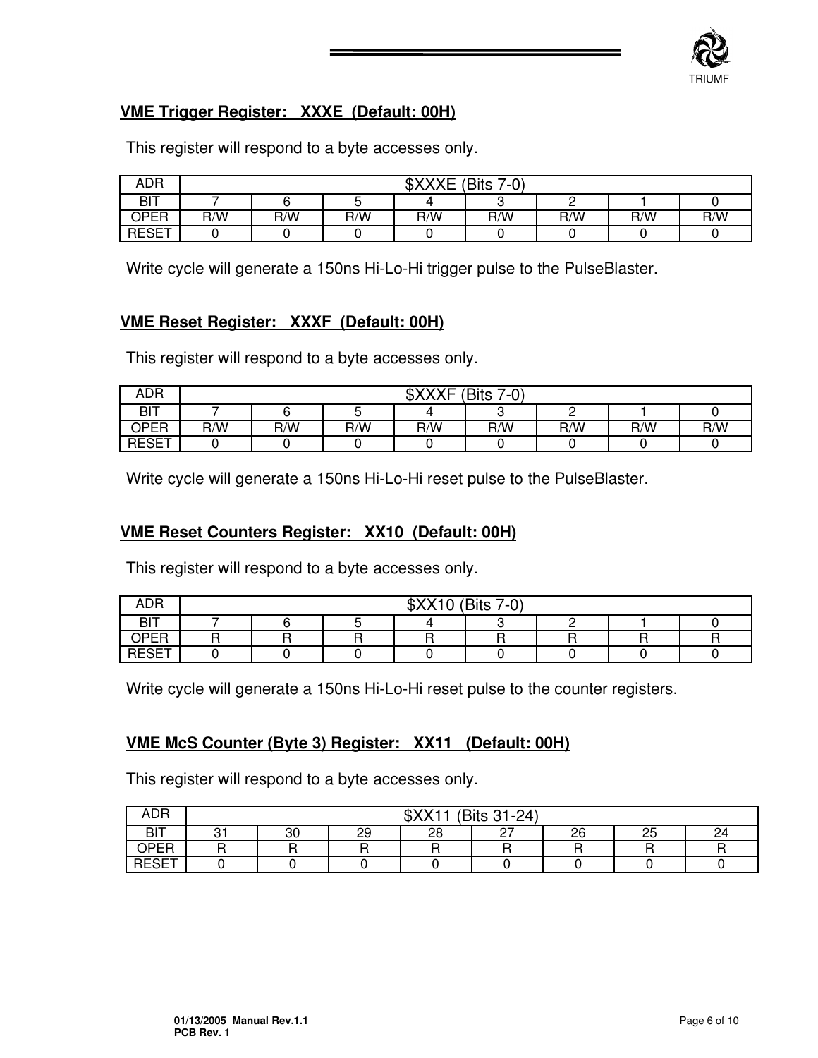

# **VME Trigger Register: XXXE (Default: 00H)**

This register will respond to a byte accesses only.

| <b>ADR</b>   |     |     | \$XXXE<br>(Bits 7-0) |     |     |     |     |     |  |  |  |  |
|--------------|-----|-----|----------------------|-----|-----|-----|-----|-----|--|--|--|--|
| BIT          |     |     |                      |     |     |     |     |     |  |  |  |  |
| OPER         | R/W | R/W | R/W                  | R/W | R/W | R/W | R/W | R/W |  |  |  |  |
| <b>RESET</b> |     |     |                      |     |     |     |     |     |  |  |  |  |

Write cycle will generate a 150ns Hi-Lo-Hi trigger pulse to the PulseBlaster.

## **VME Reset Register: XXXF (Default: 00H)**

This register will respond to a byte accesses only.

| <b>ADR</b>   |     | <b>CYYYE</b><br>(Bits 7-0)<br>ՓΛΛΛΓ |     |     |     |     |     |     |  |  |  |  |
|--------------|-----|-------------------------------------|-----|-----|-----|-----|-----|-----|--|--|--|--|
| BIT          |     |                                     |     |     |     |     |     |     |  |  |  |  |
| OPER         | R/W | R/W                                 | R/W | R/W | R/W | R/W | R/W | R/W |  |  |  |  |
| <b>RESET</b> |     |                                     |     |     |     |     |     |     |  |  |  |  |

Write cycle will generate a 150ns Hi-Lo-Hi reset pulse to the PulseBlaster.

#### **VME Reset Counters Register: XX10 (Default: 00H)**

This register will respond to a byte accesses only.

| <b>ADR</b>  |  | \$XX10 (Bits 7-0) |  |  |
|-------------|--|-------------------|--|--|
| <b>BIT</b>  |  |                   |  |  |
| <b>OPER</b> |  |                   |  |  |
|             |  |                   |  |  |

Write cycle will generate a 150ns Hi-Lo-Hi reset pulse to the counter registers.

#### **VME McS Counter (Byte 3) Register: XX11 (Default: 00H)**

| ADR           |          | MVAA<br>(Bits 31-24)<br>$\mathbf{v}$       |   |   |  |  |  |   |  |  |  |
|---------------|----------|--------------------------------------------|---|---|--|--|--|---|--|--|--|
| <b>BIT</b>    | <b>.</b> | 28<br>$\sim$<br>25<br>26<br>29<br>30<br>24 |   |   |  |  |  |   |  |  |  |
| OPER          |          |                                            | _ | - |  |  |  | ┍ |  |  |  |
| דחמחו<br>៶∟ບ∟ |          |                                            |   |   |  |  |  |   |  |  |  |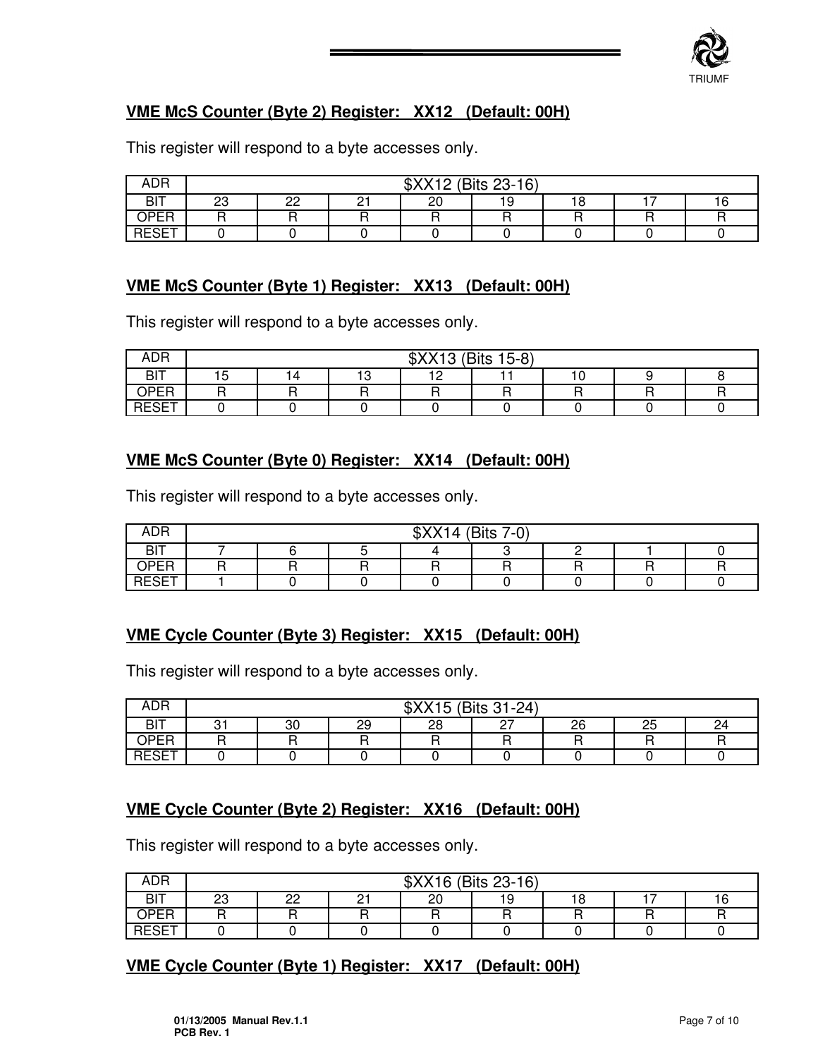

# **VME McS Counter (Byte 2) Register: XX12 (Default: 00H)**

This register will respond to a byte accesses only.

| ADR                        |          | \$XX12 (Bits 23-16)  |  |  |  |  |  |  |  |  |  |
|----------------------------|----------|----------------------|--|--|--|--|--|--|--|--|--|
| $\Gamma$<br>ווכי           | nn.<br>້ | 20<br>nn<br>16<br>-- |  |  |  |  |  |  |  |  |  |
| OPER                       |          |                      |  |  |  |  |  |  |  |  |  |
| $-0$ $ -$<br>レーペー<br>៶∟◡∟⊣ |          |                      |  |  |  |  |  |  |  |  |  |

# **VME McS Counter (Byte 1) Register: XX13 (Default: 00H)**

This register will respond to a byte accesses only.

| <b>ADR</b>    | \$XX13 (Bits 15-8) |  |  |  |  |  |  |  |  |  |
|---------------|--------------------|--|--|--|--|--|--|--|--|--|
| דום           | م 4<br>- -<br>ں ا  |  |  |  |  |  |  |  |  |  |
| OPER<br>ا است |                    |  |  |  |  |  |  |  |  |  |
| ⊇⊏९⊏⊤<br>ືື່  |                    |  |  |  |  |  |  |  |  |  |

# **VME McS Counter (Byte 0) Register: XX14 (Default: 00H)**

This register will respond to a byte accesses only.

| <b>ADR</b>    | \$XX14 (Bits 7-0) |  |  |  |  |  |  |  |  |  |  |
|---------------|-------------------|--|--|--|--|--|--|--|--|--|--|
| <b>BIT</b>    |                   |  |  |  |  |  |  |  |  |  |  |
| <b>OPER</b>   | ∽<br>-<br>г       |  |  |  |  |  |  |  |  |  |  |
| DFCFT<br>៶∟◡∟ |                   |  |  |  |  |  |  |  |  |  |  |

# **VME Cycle Counter (Byte 3) Register: XX15 (Default: 00H)**

This register will respond to a byte accesses only.

| ADR           |   | \$XX15 (Bits 31-24)                            |   |   |  |  |  |  |  |  |  |
|---------------|---|------------------------------------------------|---|---|--|--|--|--|--|--|--|
| BIT           | ົ | 28<br>29<br>25<br>26<br>30<br>24<br><u>_ ,</u> |   |   |  |  |  |  |  |  |  |
| <b>OPER</b>   |   |                                                | ∽ | - |  |  |  |  |  |  |  |
| DESET<br>≀∟ບ∟ |   |                                                |   |   |  |  |  |  |  |  |  |

#### **VME Cycle Counter (Byte 2) Register: XX16 (Default: 00H)**

This register will respond to a byte accesses only.

| <b>ADR</b> | \$XX16 (Bits 23-16) |                 |                |    |  |        |   |    |  |
|------------|---------------------|-----------------|----------------|----|--|--------|---|----|--|
| <b>BIT</b> | nn<br>ںے            | ממ<br><u>__</u> | n.<br><u>_</u> | 20 |  | റ<br>் | - | 16 |  |
| OPER       |                     |                 | רז             |    |  |        |   | □  |  |
| RESET      |                     |                 |                |    |  |        |   |    |  |

## **VME Cycle Counter (Byte 1) Register: XX17 (Default: 00H)**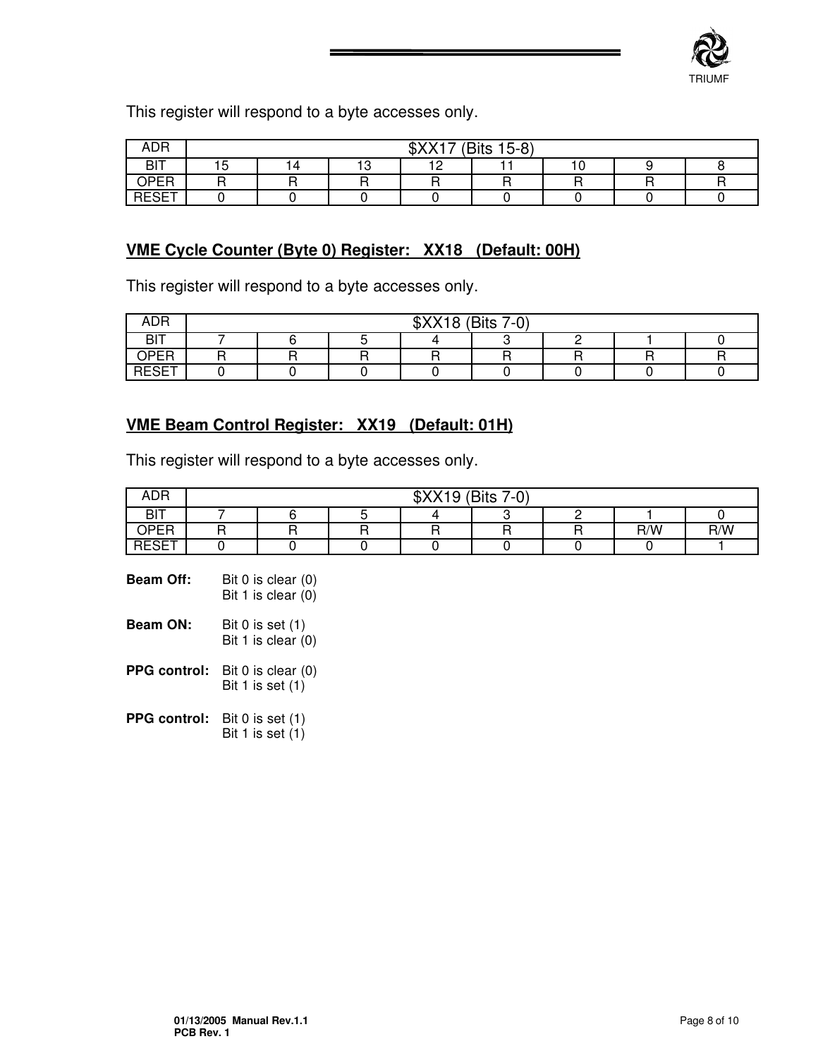

This register will respond to a byte accesses only.

| <b>ADR</b>              | ホソソィラ<br>$(Bits 15-8)$ |                                              |  |  |  |  |  |  |  |
|-------------------------|------------------------|----------------------------------------------|--|--|--|--|--|--|--|
| <b>BIT</b>              | -<br>ີ                 | $\overline{a}$<br>10<br>4<br>ت ا<br>u<br>. . |  |  |  |  |  |  |  |
| OPER                    |                        |                                              |  |  |  |  |  |  |  |
| $\cdot$ of $CT$<br>៶∟◡∟ |                        |                                              |  |  |  |  |  |  |  |

# **VME Cycle Counter (Byte 0) Register: XX18 (Default: 00H)**

This register will respond to a byte accesses only.

| <b>ADR</b>  | \$XX18 (Bits 7-0) |  |   |  |  |  |  |  |
|-------------|-------------------|--|---|--|--|--|--|--|
| <b>BIT</b>  |                   |  |   |  |  |  |  |  |
| <b>OPER</b> |                   |  | - |  |  |  |  |  |
| DECET<br>◡└ |                   |  |   |  |  |  |  |  |

# **VME Beam Control Register: XX19 (Default: 01H)**

This register will respond to a byte accesses only.

| <b>ADR</b>   | \$XX19 (Bits 7-0) |  |  |  |  |  |     |     |
|--------------|-------------------|--|--|--|--|--|-----|-----|
| <b>BIT</b>   |                   |  |  |  |  |  |     |     |
| OPER         |                   |  |  |  |  |  | R/W | R/W |
| DESET<br>∟∟∟ |                   |  |  |  |  |  |     |     |

| <b>Beam Off:</b> | Bit 0 is clear $(0)$<br>Bit 1 is clear $(0)$ |
|------------------|----------------------------------------------|
| <b>Beam ON:</b>  | Bit $0$ is set $(1)$<br>Bit 1 is clear $(0)$ |

**PPG control:** Bit 0 is clear (0) Bit 1 is set (1)

**PPG control:** Bit 0 is set (1) Bit 1 is set  $(1)$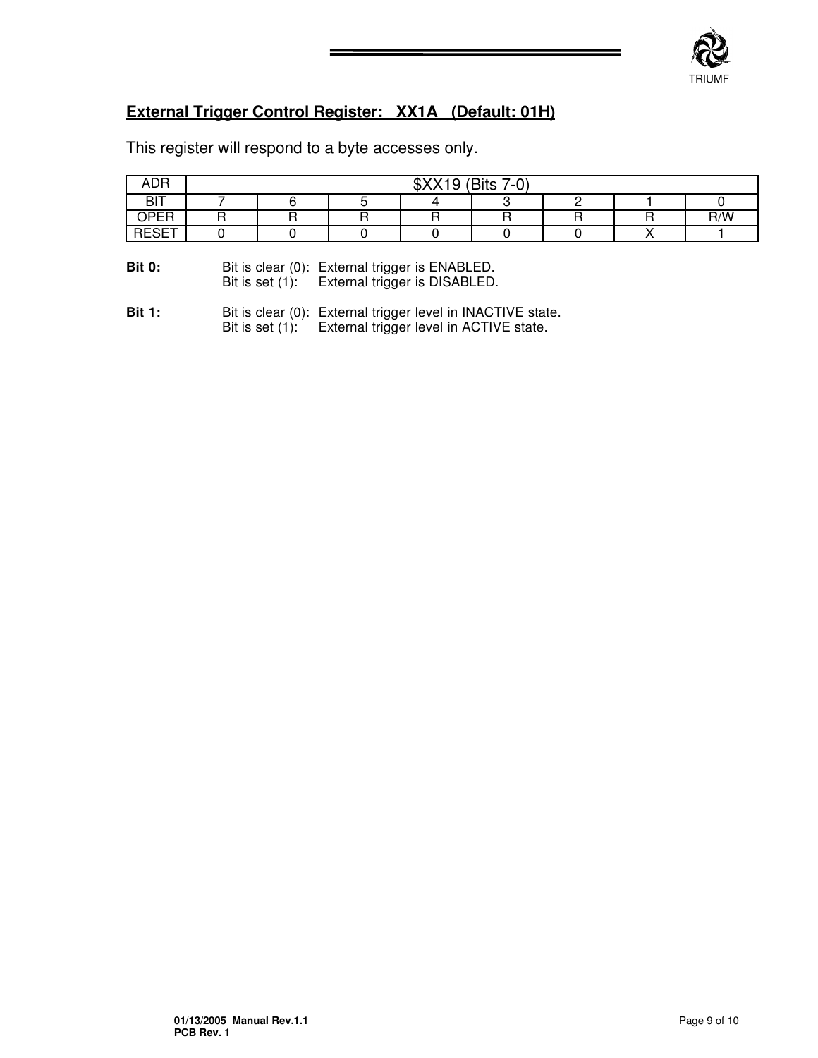

# **External Trigger Control Register: XX1A (Default: 01H)**

| <b>ADR</b>                                                                                                       | \$XX19 (Bits 7-0)                                           |  |  |   |  |  |  |     |  |
|------------------------------------------------------------------------------------------------------------------|-------------------------------------------------------------|--|--|---|--|--|--|-----|--|
| <b>BIT</b>                                                                                                       |                                                             |  |  |   |  |  |  |     |  |
| <b>OPER</b>                                                                                                      |                                                             |  |  | R |  |  |  | R/W |  |
| <b>RESET</b>                                                                                                     |                                                             |  |  |   |  |  |  |     |  |
| <b>Bit 0:</b><br>Bit is clear (0): External trigger is ENABLED.<br>Bit is set (1): External trigger is DISABLED. |                                                             |  |  |   |  |  |  |     |  |
| <b>Bit 1:</b>                                                                                                    | Bit is clear (0): External trigger level in INACTIVE state. |  |  |   |  |  |  |     |  |

Bit is set (1): External trigger level in ACTIVE state.